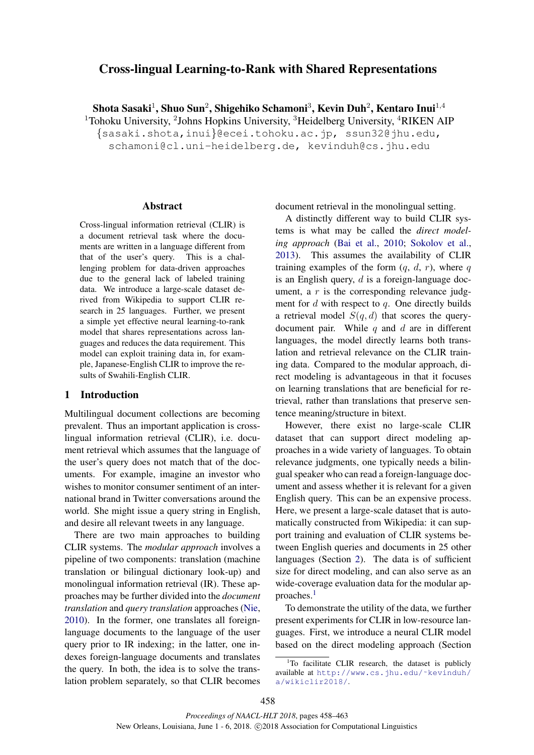# Cross-lingual Learning-to-Rank with Shared Representations

Shota Sasaki $^1$ , Shuo Sun $^2$ , Shigehiko Schamoni $^3$ , Kevin Duh $^2$ , Kentaro Inui $^{1,4}$ 

<sup>1</sup>Tohoku University, <sup>2</sup>Johns Hopkins University, <sup>3</sup>Heidelberg University, <sup>4</sup>RIKEN AIP

{sasaki.shota,inui}@ecei.tohoku.ac.jp, ssun32@jhu.edu,

schamoni@cl.uni-heidelberg.de, kevinduh@cs.jhu.edu

#### Abstract

Cross-lingual information retrieval (CLIR) is a document retrieval task where the documents are written in a language different from that of the user's query. This is a challenging problem for data-driven approaches due to the general lack of labeled training data. We introduce a large-scale dataset derived from Wikipedia to support CLIR research in 25 languages. Further, we present a simple yet effective neural learning-to-rank model that shares representations across languages and reduces the data requirement. This model can exploit training data in, for example, Japanese-English CLIR to improve the results of Swahili-English CLIR.

### 1 Introduction

Multilingual document collections are becoming prevalent. Thus an important application is crosslingual information retrieval (CLIR), i.e. document retrieval which assumes that the language of the user's query does not match that of the documents. For example, imagine an investor who wishes to monitor consumer sentiment of an international brand in Twitter conversations around the world. She might issue a query string in English, and desire all relevant tweets in any language.

There are two main approaches to building CLIR systems. The *modular approach* involves a pipeline of two components: translation (machine translation or bilingual dictionary look-up) and monolingual information retrieval (IR). These approaches may be further divided into the *document translation* and *query translation* approaches (Nie, 2010). In the former, one translates all foreignlanguage documents to the language of the user query prior to IR indexing; in the latter, one indexes foreign-language documents and translates the query. In both, the idea is to solve the translation problem separately, so that CLIR becomes document retrieval in the monolingual setting.

A distinctly different way to build CLIR systems is what may be called the *direct modeling approach* (Bai et al., 2010; Sokolov et al., 2013). This assumes the availability of CLIR training examples of the form  $(q, d, r)$ , where q is an English query,  $d$  is a foreign-language document, a  $r$  is the corresponding relevance judgment for  $d$  with respect to  $q$ . One directly builds a retrieval model  $S(q, d)$  that scores the querydocument pair. While  $q$  and  $d$  are in different languages, the model directly learns both translation and retrieval relevance on the CLIR training data. Compared to the modular approach, direct modeling is advantageous in that it focuses on learning translations that are beneficial for retrieval, rather than translations that preserve sentence meaning/structure in bitext.

However, there exist no large-scale CLIR dataset that can support direct modeling approaches in a wide variety of languages. To obtain relevance judgments, one typically needs a bilingual speaker who can read a foreign-language document and assess whether it is relevant for a given English query. This can be an expensive process. Here, we present a large-scale dataset that is automatically constructed from Wikipedia: it can support training and evaluation of CLIR systems between English queries and documents in 25 other languages (Section 2). The data is of sufficient size for direct modeling, and can also serve as an wide-coverage evaluation data for the modular approaches.<sup>1</sup>

To demonstrate the utility of the data, we further present experiments for CLIR in low-resource languages. First, we introduce a neural CLIR model based on the direct modeling approach (Section

 $1$ To facilitate CLIR research, the dataset is publicly available at http://www.cs.jhu.edu/˜kevinduh/ a/wikiclir2018/.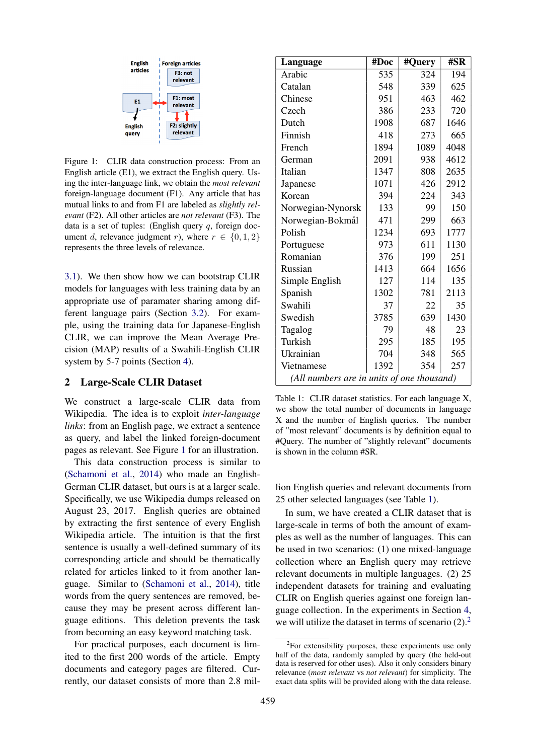

Figure 1: CLIR data construction process: From an English article (E1), we extract the English query. Using the inter-language link, we obtain the *most relevant* foreign-language document (F1). Any article that has mutual links to and from F1 are labeled as *slightly relevant* (F2). All other articles are *not relevant* (F3). The data is a set of tuples: (English query  $q$ , foreign document d, relevance judgment r), where  $r \in \{0, 1, 2\}$ represents the three levels of relevance.

3.1). We then show how we can bootstrap CLIR models for languages with less training data by an appropriate use of paramater sharing among different language pairs (Section 3.2). For example, using the training data for Japanese-English CLIR, we can improve the Mean Average Precision (MAP) results of a Swahili-English CLIR system by 5-7 points (Section 4).

### 2 Large-Scale CLIR Dataset

We construct a large-scale CLIR data from Wikipedia. The idea is to exploit *inter-language links*: from an English page, we extract a sentence as query, and label the linked foreign-document pages as relevant. See Figure 1 for an illustration.

This data construction process is similar to (Schamoni et al., 2014) who made an English-German CLIR dataset, but ours is at a larger scale. Specifically, we use Wikipedia dumps released on August 23, 2017. English queries are obtained by extracting the first sentence of every English Wikipedia article. The intuition is that the first sentence is usually a well-defined summary of its corresponding article and should be thematically related for articles linked to it from another language. Similar to (Schamoni et al., 2014), title words from the query sentences are removed, because they may be present across different language editions. This deletion prevents the task from becoming an easy keyword matching task.

For practical purposes, each document is limited to the first 200 words of the article. Empty documents and category pages are filtered. Currently, our dataset consists of more than 2.8 mil-

| Language                                   | #Doc | #Query | #SR  |  |  |  |  |
|--------------------------------------------|------|--------|------|--|--|--|--|
| Arabic                                     | 535  | 324    | 194  |  |  |  |  |
| Catalan                                    | 548  | 339    | 625  |  |  |  |  |
| Chinese                                    | 951  | 463    | 462  |  |  |  |  |
| Czech                                      | 386  | 233    | 720  |  |  |  |  |
| Dutch                                      | 1908 | 687    | 1646 |  |  |  |  |
| Finnish                                    | 418  | 273    | 665  |  |  |  |  |
| French                                     | 1894 | 1089   | 4048 |  |  |  |  |
| German                                     | 2091 | 938    | 4612 |  |  |  |  |
| Italian                                    | 1347 | 808    | 2635 |  |  |  |  |
| Japanese                                   | 1071 | 426    | 2912 |  |  |  |  |
| Korean                                     | 394  | 224    | 343  |  |  |  |  |
| Norwegian-Nynorsk                          | 133  | 99     | 150  |  |  |  |  |
| Norwegian-Bokmål                           | 471  | 299    | 663  |  |  |  |  |
| Polish                                     | 1234 | 693    | 1777 |  |  |  |  |
| Portuguese                                 | 973  | 611    | 1130 |  |  |  |  |
| Romanian                                   | 376  | 199    | 251  |  |  |  |  |
| Russian                                    | 1413 | 664    | 1656 |  |  |  |  |
| Simple English                             | 127  | 114    | 135  |  |  |  |  |
| Spanish                                    | 1302 | 781    | 2113 |  |  |  |  |
| Swahili                                    | 37   | 22     | 35   |  |  |  |  |
| Swedish                                    | 3785 | 639    | 1430 |  |  |  |  |
| Tagalog                                    | 79   | 48     | 23   |  |  |  |  |
| Turkish                                    | 295  | 185    | 195  |  |  |  |  |
| Ukrainian                                  | 704  | 348    | 565  |  |  |  |  |
| Vietnamese                                 | 1392 | 354    | 257  |  |  |  |  |
| (All numbers are in units of one thousand) |      |        |      |  |  |  |  |

Table 1: CLIR dataset statistics. For each language X, we show the total number of documents in language X and the number of English queries. The number of "most relevant" documents is by definition equal to #Query. The number of "slightly relevant" documents is shown in the column #SR.

lion English queries and relevant documents from 25 other selected languages (see Table 1).

In sum, we have created a CLIR dataset that is large-scale in terms of both the amount of examples as well as the number of languages. This can be used in two scenarios: (1) one mixed-language collection where an English query may retrieve relevant documents in multiple languages. (2) 25 independent datasets for training and evaluating CLIR on English queries against one foreign language collection. In the experiments in Section 4, we will utilize the dataset in terms of scenario  $(2)$ .<sup>2</sup>

<sup>&</sup>lt;sup>2</sup>For extensibility purposes, these experiments use only half of the data, randomly sampled by query (the held-out data is reserved for other uses). Also it only considers binary relevance (*most relevant* vs *not relevant*) for simplicity. The exact data splits will be provided along with the data release.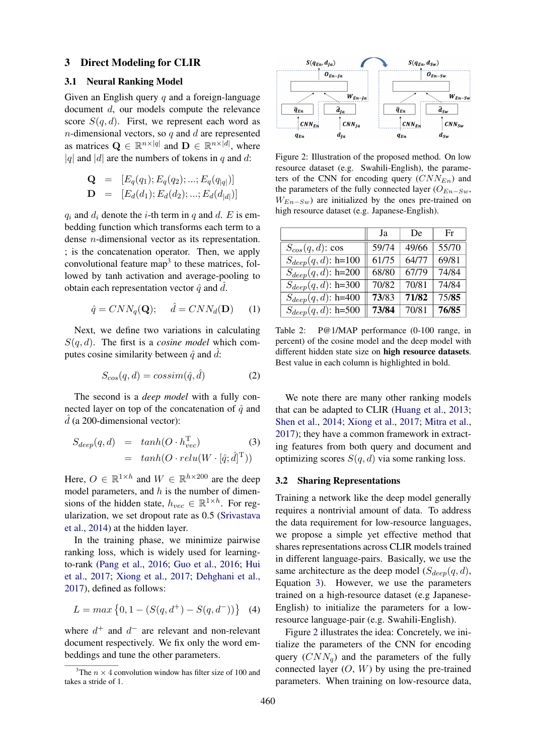#### 3 Direct Modeling for CLIR

### 3.1 Neural Ranking Model

Given an English query  $q$  and a foreign-language document d, our models compute the relevance score  $S(q, d)$ . First, we represent each word as  $n$ -dimensional vectors, so  $q$  and  $d$  are represented as matrices  $\mathbf{Q} \in \mathbb{R}^{n \times |q|}$  and  $\mathbf{D} \in \mathbb{R}^{n \times |d|}$ , where |q| and |d| are the numbers of tokens in q and d:

$$
\mathbf{Q} = [E_q(q_1); E_q(q_2); ...; E_q(q_{|q|})]
$$
  

$$
\mathbf{D} = [E_d(d_1); E_d(d_2); ...; E_d(d_{|d|})]
$$

 $q_i$  and  $d_i$  denote the *i*-th term in q and d. E is embedding function which transforms each term to a dense n-dimensional vector as its representation. ; is the concatenation operator. Then, we apply convolutional feature map<sup>3</sup> to these matrices, followed by tanh activation and average-pooling to obtain each representation vector  $\hat{q}$  and  $\hat{d}$ .

$$
\hat{q} = CNN_q(\mathbf{Q}); \quad \hat{d} = CNN_d(\mathbf{D}) \quad (1)
$$

Next, we define two variations in calculating  $S(q, d)$ . The first is a *cosine model* which computes cosine similarity between  $\hat{q}$  and  $d$ :

$$
S_{cos}(q, d) = \cos\!\left(\hat{q}, \hat{d}\right) \tag{2}
$$

The second is a *deep model* with a fully connected layer on top of the concatenation of  $\hat{q}$  and  $d$  (a 200-dimensional vector):

$$
S_{deep}(q, d) = tanh(O \cdot h_{vec}^{T})
$$
\n
$$
= tanh(O \cdot relu(W \cdot [\hat{q}; \hat{d}]^{T}))
$$
\n(3)

Here,  $O \in \mathbb{R}^{1 \times h}$  and  $W \in \mathbb{R}^{h \times 200}$  are the deep model parameters, and  $h$  is the number of dimensions of the hidden state,  $h_{vec} \in \mathbb{R}^{1 \times h}$ . For regularization, we set dropout rate as 0.5 (Srivastava et al., 2014) at the hidden layer.

In the training phase, we minimize pairwise ranking loss, which is widely used for learningto-rank (Pang et al., 2016; Guo et al., 2016; Hui et al., 2017; Xiong et al., 2017; Dehghani et al., 2017), defined as follows:

$$
L = \max\left\{0, 1 - (S(q, d^{+}) - S(q, d^{-}))\right\}
$$
 (4)

where  $d^+$  and  $d^-$  are relevant and non-relevant document respectively. We fix only the word embeddings and tune the other parameters.



Figure 2: Illustration of the proposed method. On low resource dataset (e.g. Swahili-English), the parameters of the CNN for encoding query  $(CNN_{En})$  and the parameters of the fully connected layer ( $O_{En-Sw}$ ,  $W_{En-Sw}$ ) are initialized by the ones pre-trained on high resource dataset (e.g. Japanese-English).

|                          | Ja    | De    | Fr    |
|--------------------------|-------|-------|-------|
| $S_{cos}(q, d)$ : cos    | 59/74 | 49/66 | 55/70 |
| $S_{deep}(q, d)$ : h=100 | 61/75 | 64/77 | 69/81 |
| $S_{deep}(q, d)$ : h=200 | 68/80 | 67/79 | 74/84 |
| $S_{deep}(q, d)$ : h=300 | 70/82 | 70/81 | 74/84 |
| $S_{deep}(q, d)$ : h=400 | 73/83 | 71/82 | 75/85 |
| $S_{deep}(q, d)$ : h=500 | 73/84 | 70/81 | 76/85 |

Table 2: P@1/MAP performance (0-100 range, in percent) of the cosine model and the deep model with different hidden state size on high resource datasets. Best value in each column is highlighted in bold.

We note there are many other ranking models that can be adapted to CLIR (Huang et al., 2013; Shen et al., 2014; Xiong et al., 2017; Mitra et al., 2017); they have a common framework in extracting features from both query and document and optimizing scores  $S(q, d)$  via some ranking loss.

#### 3.2 Sharing Representations

Training a network like the deep model generally requires a nontrivial amount of data. To address the data requirement for low-resource languages, we propose a simple yet effective method that shares representations across CLIR models trained in different language-pairs. Basically, we use the same architecture as the deep model  $(S_{deep}(q, d),$ Equation 3). However, we use the parameters trained on a high-resource dataset (e.g Japanese-English) to initialize the parameters for a lowresource language-pair (e.g. Swahili-English).

Figure 2 illustrates the idea: Concretely, we initialize the parameters of the CNN for encoding query  $(CNN_a)$  and the parameters of the fully connected layer  $(O, W)$  by using the pre-trained parameters. When training on low-resource data,

<sup>&</sup>lt;sup>3</sup>The  $n \times 4$  convolution window has filter size of 100 and takes a stride of 1.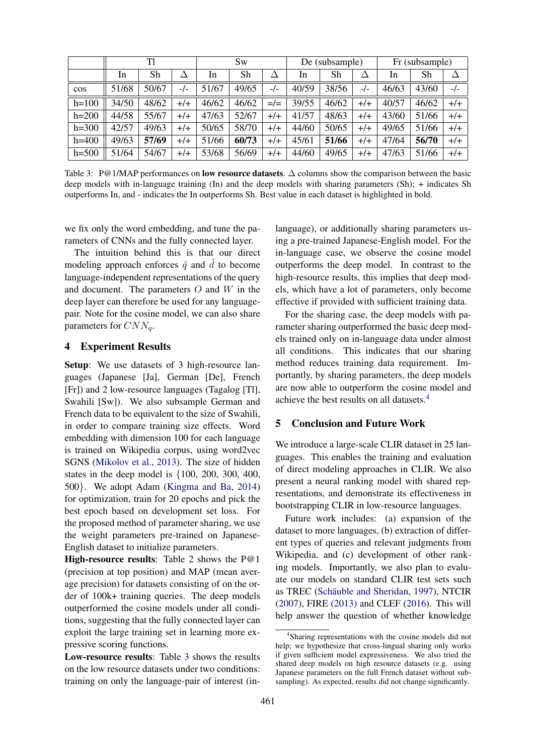|           | Tl    |       |       | <b>Sw</b> |       | De (subsample) |       | Fr (subsample) |       |       |       |       |
|-----------|-------|-------|-------|-----------|-------|----------------|-------|----------------|-------|-------|-------|-------|
|           | In    | Sh    |       | In        | Sh    | Δ              | In    | Sh             |       | 1n    | Sh    |       |
| $\cos$    | 51/68 | 50/67 | $-/-$ | 51/67     | 49/65 | $-/-$          | 40/59 | 38/56          | $-/-$ | 46/63 | 43/60 | -/-   |
| $h=100$   | 34/50 | 48/62 | $+/-$ | 46/62     | 46/62 | $=/-$          | 39/55 | 46/62          | $+/-$ | 40/57 | 46/62 | $+/-$ |
| $h = 200$ | 44/58 | 55/67 | $+/+$ | 47/63     | 52/67 | $+/-$          | 41/57 | 48/63          | $+/-$ | 43/60 | 51/66 | $+/-$ |
| $h = 300$ | 42/57 | 49/63 | $+/-$ | 50/65     | 58/70 | $+/+$          | 44/60 | 50/65          | $+/-$ | 49/65 | 51/66 | $+/+$ |
| $h = 400$ | 49/63 | 57/69 | $+/-$ | 51/66     | 60/73 | $+/-$          | 45/61 | 51/66          | $+/-$ | 47/64 | 56/70 | $+/-$ |
| $h=500$   | 51/64 | 54/67 | $+/-$ | 53/68     | 56/69 | $+/+$          | 44/60 | 49/65          | $+/-$ | 47/63 | 51/66 | $+/-$ |

Table 3: P@1/MAP performances on **low resource datasets**. ∆ columns show the comparison between the basic deep models with in-language training (In) and the deep models with sharing parameters (Sh); + indicates Sh outperforms In, and - indicates the In outperforms Sh. Best value in each dataset is highlighted in bold.

we fix only the word embedding, and tune the parameters of CNNs and the fully connected layer.

The intuition behind this is that our direct modeling approach enforces  $\hat{q}$  and  $\hat{d}$  to become language-independent representations of the query and document. The parameters  $O$  and  $W$  in the deep layer can therefore be used for any languagepair. Note for the cosine model, we can also share parameters for  $CNN_a$ .

#### 4 Experiment Results

Setup: We use datasets of 3 high-resource languages (Japanese [Ja], German [De], French [Fr]) and 2 low-resource languages (Tagalog [Tl], Swahili [Sw]). We also subsample German and French data to be equivalent to the size of Swahili, in order to compare training size effects. Word embedding with dimension 100 for each language is trained on Wikipedia corpus, using word2vec SGNS (Mikolov et al., 2013). The size of hidden states in the deep model is  $\{100, 200, 300, 400,$ 500}. We adopt Adam (Kingma and Ba, 2014) for optimization, train for 20 epochs and pick the best epoch based on development set loss. For the proposed method of parameter sharing, we use the weight parameters pre-trained on Japanese-English dataset to initialize parameters.

High-resource results: Table 2 shows the P@1 (precision at top position) and MAP (mean average precision) for datasets consisting of on the order of 100k+ training queries. The deep models outperformed the cosine models under all conditions, suggesting that the fully connected layer can exploit the large training set in learning more expressive scoring functions.

Low-resource results: Table 3 shows the results on the low resource datasets under two conditions: training on only the language-pair of interest (in-

language), or additionally sharing parameters using a pre-trained Japanese-English model. For the in-language case, we observe the cosine model outperforms the deep model. In contrast to the high-resource results, this implies that deep models, which have a lot of parameters, only become effective if provided with sufficient training data.

For the sharing case, the deep models with parameter sharing outperformed the basic deep models trained only on in-language data under almost all conditions. This indicates that our sharing method reduces training data requirement. Importantly, by sharing parameters, the deep models are now able to outperform the cosine model and achieve the best results on all datasets.<sup>4</sup>

### 5 Conclusion and Future Work

We introduce a large-scale CLIR dataset in 25 languages. This enables the training and evaluation of direct modeling approaches in CLIR. We also present a neural ranking model with shared representations, and demonstrate its effectiveness in bootstrapping CLIR in low-resource languages.

Future work includes: (a) expansion of the dataset to more languages, (b) extraction of different types of queries and relevant judgments from Wikipedia, and (c) development of other ranking models. Importantly, we also plan to evaluate our models on standard CLIR test sets such as TREC (Schäuble and Sheridan, 1997), NTCIR (2007), FIRE (2013) and CLEF (2016). This will help answer the question of whether knowledge

<sup>&</sup>lt;sup>4</sup>Sharing representations with the cosine models did not help; we hypothesize that cross-lingual sharing only works if given sufficient model expressiveness. We also tried the shared deep models on high resource datasets (e.g. using Japanese parameters on the full French dataset without subsampling). As expected, results did not change significantly.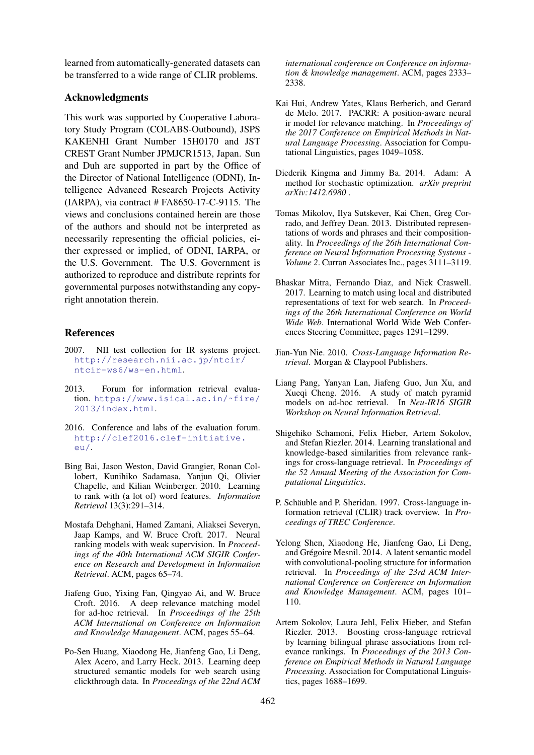learned from automatically-generated datasets can be transferred to a wide range of CLIR problems.

### Acknowledgments

This work was supported by Cooperative Laboratory Study Program (COLABS-Outbound), JSPS KAKENHI Grant Number 15H0170 and JST CREST Grant Number JPMJCR1513, Japan. Sun and Duh are supported in part by the Office of the Director of National Intelligence (ODNI), Intelligence Advanced Research Projects Activity (IARPA), via contract # FA8650-17-C-9115. The views and conclusions contained herein are those of the authors and should not be interpreted as necessarily representing the official policies, either expressed or implied, of ODNI, IARPA, or the U.S. Government. The U.S. Government is authorized to reproduce and distribute reprints for governmental purposes notwithstanding any copyright annotation therein.

## References

- 2007. NII test collection for IR systems project. http://research.nii.ac.jp/ntcir/ ntcir-ws6/ws-en.html.
- 2013. Forum for information retrieval evaluation. https://www.isical.ac.in/˜fire/ 2013/index.html.
- 2016. Conference and labs of the evaluation forum. http://clef2016.clef-initiative. eu/.
- Bing Bai, Jason Weston, David Grangier, Ronan Collobert, Kunihiko Sadamasa, Yanjun Qi, Olivier Chapelle, and Kilian Weinberger. 2010. Learning to rank with (a lot of) word features. *Information Retrieval* 13(3):291–314.
- Mostafa Dehghani, Hamed Zamani, Aliaksei Severyn, Jaap Kamps, and W. Bruce Croft. 2017. Neural ranking models with weak supervision. In *Proceedings of the 40th International ACM SIGIR Conference on Research and Development in Information Retrieval*. ACM, pages 65–74.
- Jiafeng Guo, Yixing Fan, Qingyao Ai, and W. Bruce Croft. 2016. A deep relevance matching model for ad-hoc retrieval. In *Proceedings of the 25th ACM International on Conference on Information and Knowledge Management*. ACM, pages 55–64.
- Po-Sen Huang, Xiaodong He, Jianfeng Gao, Li Deng, Alex Acero, and Larry Heck. 2013. Learning deep structured semantic models for web search using clickthrough data. In *Proceedings of the 22nd ACM*

*international conference on Conference on information & knowledge management*. ACM, pages 2333– 2338.

- Kai Hui, Andrew Yates, Klaus Berberich, and Gerard de Melo. 2017. PACRR: A position-aware neural ir model for relevance matching. In *Proceedings of the 2017 Conference on Empirical Methods in Natural Language Processing*. Association for Computational Linguistics, pages 1049–1058.
- Diederik Kingma and Jimmy Ba. 2014. Adam: A method for stochastic optimization. *arXiv preprint arXiv:1412.6980* .
- Tomas Mikolov, Ilya Sutskever, Kai Chen, Greg Corrado, and Jeffrey Dean. 2013. Distributed representations of words and phrases and their compositionality. In *Proceedings of the 26th International Conference on Neural Information Processing Systems - Volume 2*. Curran Associates Inc., pages 3111–3119.
- Bhaskar Mitra, Fernando Diaz, and Nick Craswell. 2017. Learning to match using local and distributed representations of text for web search. In *Proceedings of the 26th International Conference on World Wide Web*. International World Wide Web Conferences Steering Committee, pages 1291–1299.
- Jian-Yun Nie. 2010. *Cross-Language Information Retrieval*. Morgan & Claypool Publishers.
- Liang Pang, Yanyan Lan, Jiafeng Guo, Jun Xu, and Xueqi Cheng. 2016. A study of match pyramid models on ad-hoc retrieval. In *Neu-IR16 SIGIR Workshop on Neural Information Retrieval*.
- Shigehiko Schamoni, Felix Hieber, Artem Sokolov, and Stefan Riezler. 2014. Learning translational and knowledge-based similarities from relevance rankings for cross-language retrieval. In *Proceedings of the 52 Annual Meeting of the Association for Computational Linguistics*.
- P. Schäuble and P. Sheridan. 1997. Cross-language information retrieval (CLIR) track overview. In *Proceedings of TREC Conference*.
- Yelong Shen, Xiaodong He, Jianfeng Gao, Li Deng, and Grégoire Mesnil. 2014. A latent semantic model with convolutional-pooling structure for information retrieval. In *Proceedings of the 23rd ACM International Conference on Conference on Information and Knowledge Management*. ACM, pages 101– 110.
- Artem Sokolov, Laura Jehl, Felix Hieber, and Stefan Riezler. 2013. Boosting cross-language retrieval by learning bilingual phrase associations from relevance rankings. In *Proceedings of the 2013 Conference on Empirical Methods in Natural Language Processing*. Association for Computational Linguistics, pages 1688–1699.